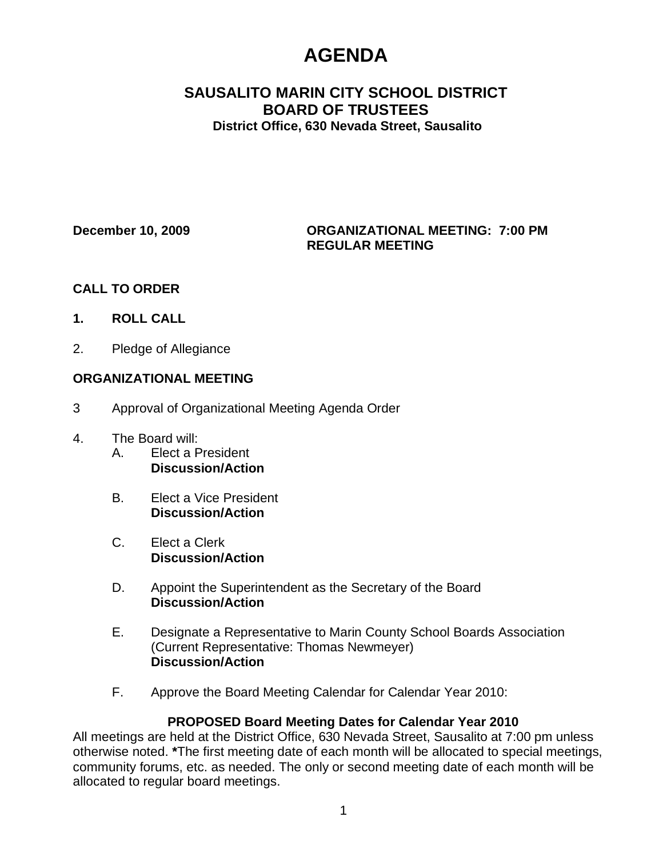# **AGENDA**

# **SAUSALITO MARIN CITY SCHOOL DISTRICT BOARD OF TRUSTEES District Office, 630 Nevada Street, Sausalito**

## **December 10, 2009 ORGANIZATIONAL MEETING: 7:00 PM REGULAR MEETING**

# **CALL TO ORDER**

- **1. ROLL CALL**
- 2. Pledge of Allegiance

# **ORGANIZATIONAL MEETING**

- 3 Approval of Organizational Meeting Agenda Order
- 4. The Board will:
	- A. Elect a President **Discussion/Action**
	- B. Elect a Vice President **Discussion/Action**
	- C. Elect a Clerk **Discussion/Action**
	- D. Appoint the Superintendent as the Secretary of the Board **Discussion/Action**
	- E. Designate a Representative to Marin County School Boards Association (Current Representative: Thomas Newmeyer) **Discussion/Action**
	- F. Approve the Board Meeting Calendar for Calendar Year 2010:

# **PROPOSED Board Meeting Dates for Calendar Year 2010**

All meetings are held at the District Office, 630 Nevada Street, Sausalito at 7:00 pm unless otherwise noted. **\***The first meeting date of each month will be allocated to special meetings, community forums, etc. as needed. The only or second meeting date of each month will be allocated to regular board meetings.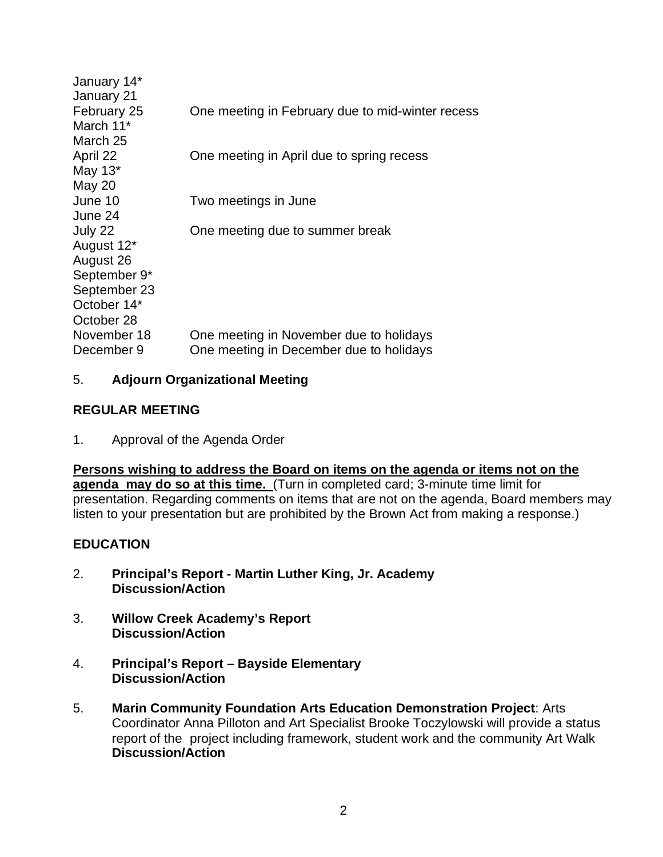| January 14*<br>January 21 |                                                                                    |
|---------------------------|------------------------------------------------------------------------------------|
| February 25<br>March 11*  | One meeting in February due to mid-winter recess                                   |
| March 25                  |                                                                                    |
| April 22<br>May $13^*$    | One meeting in April due to spring recess                                          |
| May 20<br>June 10         | Two meetings in June                                                               |
| June 24                   |                                                                                    |
| July 22                   | One meeting due to summer break                                                    |
| August 12*<br>August 26   |                                                                                    |
| September 9*              |                                                                                    |
| September 23              |                                                                                    |
| October 14*<br>October 28 |                                                                                    |
| November 18<br>December 9 | One meeting in November due to holidays<br>One meeting in December due to holidays |
|                           |                                                                                    |

## 5. **Adjourn Organizational Meeting**

## **REGULAR MEETING**

1. Approval of the Agenda Order

**Persons wishing to address the Board on items on the agenda or items not on the agenda may do so at this time.** (Turn in completed card; 3-minute time limit for presentation. Regarding comments on items that are not on the agenda, Board members may listen to your presentation but are prohibited by the Brown Act from making a response.)

# **EDUCATION**

- 2. **Principal's Report Martin Luther King, Jr. Academy Discussion/Action**
- 3. **Willow Creek Academy's Report Discussion/Action**
- 4. **Principal's Report Bayside Elementary Discussion/Action**
- 5. **Marin Community Foundation Arts Education Demonstration Project**: Arts Coordinator Anna Pilloton and Art Specialist Brooke Toczylowski will provide a status report of the project including framework, student work and the community Art Walk **Discussion/Action**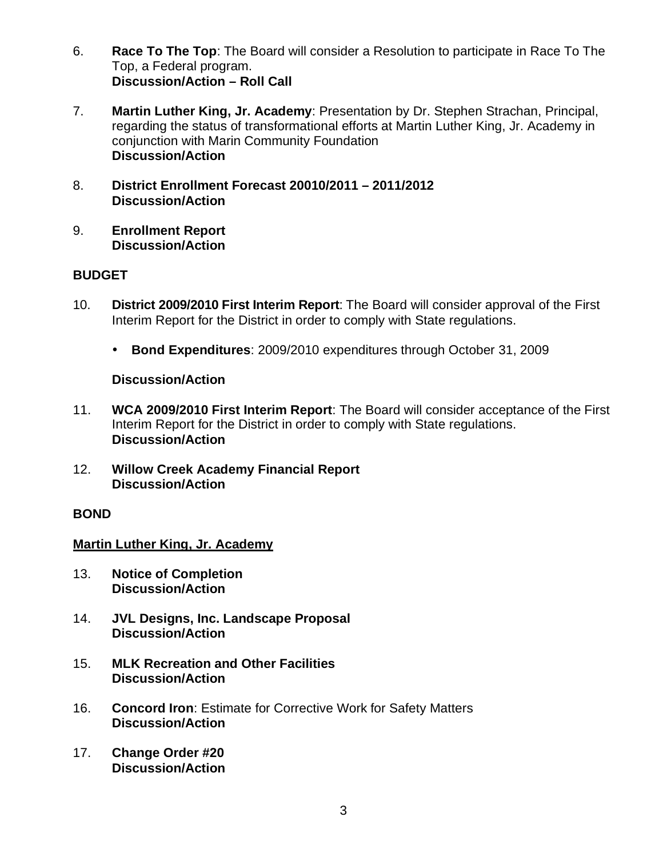- 6. **Race To The Top**: The Board will consider a Resolution to participate in Race To The Top, a Federal program. **Discussion/Action – Roll Call**
- 7. **Martin Luther King, Jr. Academy**: Presentation by Dr. Stephen Strachan, Principal, regarding the status of transformational efforts at Martin Luther King, Jr. Academy in conjunction with Marin Community Foundation **Discussion/Action**
- 8. **District Enrollment Forecast 20010/2011 2011/2012 Discussion/Action**
- 9. **Enrollment Report Discussion/Action**

# **BUDGET**

- 10. **District 2009/2010 First Interim Report**: The Board will consider approval of the First Interim Report for the District in order to comply with State regulations.
	- **Bond Expenditures**: 2009/2010 expenditures through October 31, 2009

## **Discussion/Action**

- 11. **WCA 2009/2010 First Interim Report**: The Board will consider acceptance of the First Interim Report for the District in order to comply with State regulations. **Discussion/Action**
- 12. **Willow Creek Academy Financial Report Discussion/Action**

## **BOND**

# **Martin Luther King, Jr. Academy**

- 13. **Notice of Completion Discussion/Action**
- 14. **JVL Designs, Inc. Landscape Proposal Discussion/Action**
- 15. **MLK Recreation and Other Facilities Discussion/Action**
- 16. **Concord Iron**: Estimate for Corrective Work for Safety Matters **Discussion/Action**
- 17. **Change Order #20 Discussion/Action**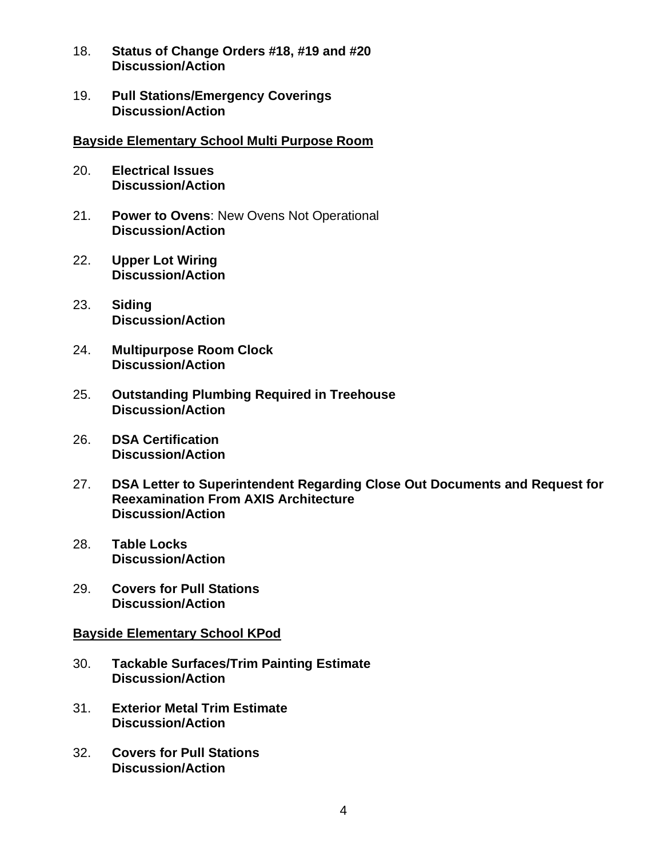- 18. **Status of Change Orders #18, #19 and #20 Discussion/Action**
- 19. **Pull Stations/Emergency Coverings Discussion/Action**

#### **Bayside Elementary School Multi Purpose Room**

- 20. **Electrical Issues Discussion/Action**
- 21. **Power to Ovens**: New Ovens Not Operational **Discussion/Action**
- 22. **Upper Lot Wiring Discussion/Action**
- 23. **Siding Discussion/Action**
- 24. **Multipurpose Room Clock Discussion/Action**
- 25. **Outstanding Plumbing Required in Treehouse Discussion/Action**
- 26. **DSA Certification Discussion/Action**
- 27. **DSA Letter to Superintendent Regarding Close Out Documents and Request for Reexamination From AXIS Architecture Discussion/Action**
- 28. **Table Locks Discussion/Action**
- 29. **Covers for Pull Stations Discussion/Action**

#### **Bayside Elementary School KPod**

- 30. **Tackable Surfaces/Trim Painting Estimate Discussion/Action**
- 31. **Exterior Metal Trim Estimate Discussion/Action**
- 32. **Covers for Pull Stations Discussion/Action**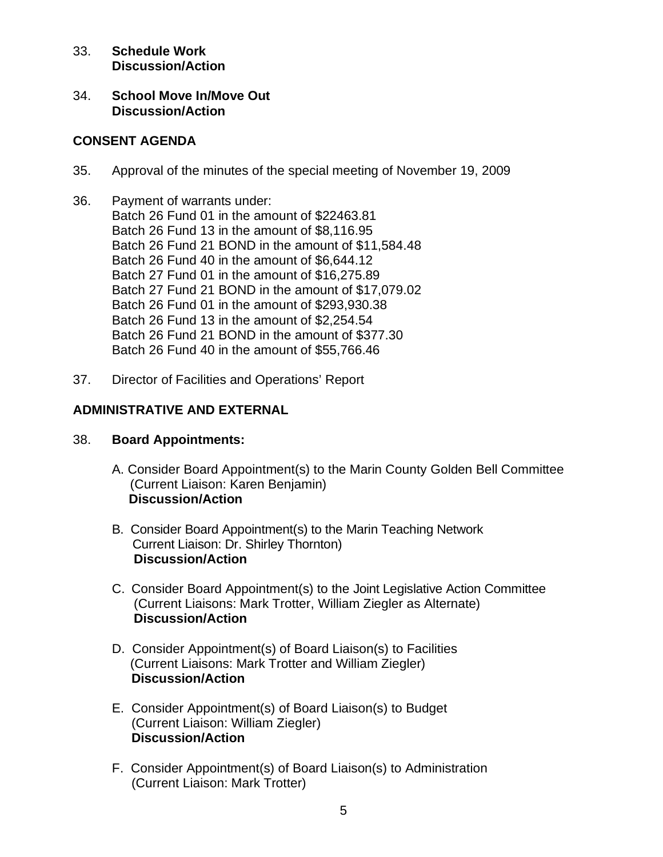## 33. **Schedule Work Discussion/Action**

34. **School Move In/Move Out Discussion/Action** 

# **CONSENT AGENDA**

- 35. Approval of the minutes of the special meeting of November 19, 2009
- 36. Payment of warrants under: Batch 26 Fund 01 in the amount of \$22463.81 Batch 26 Fund 13 in the amount of \$8,116.95 Batch 26 Fund 21 BOND in the amount of \$11,584.48 Batch 26 Fund 40 in the amount of \$6,644.12 Batch 27 Fund 01 in the amount of \$16,275.89 Batch 27 Fund 21 BOND in the amount of \$17,079.02 Batch 26 Fund 01 in the amount of \$293,930.38 Batch 26 Fund 13 in the amount of \$2,254.54 Batch 26 Fund 21 BOND in the amount of \$377.30 Batch 26 Fund 40 in the amount of \$55,766.46
- 37. Director of Facilities and Operations' Report

# **ADMINISTRATIVE AND EXTERNAL**

- 38. **Board Appointments:** 
	- A. Consider Board Appointment(s) to the Marin County Golden Bell Committee (Current Liaison: Karen Benjamin) **Discussion/Action**
	- B. Consider Board Appointment(s) to the Marin Teaching Network Current Liaison: Dr. Shirley Thornton)  **Discussion/Action**
	- C. Consider Board Appointment(s) to the Joint Legislative Action Committee (Current Liaisons: Mark Trotter, William Ziegler as Alternate)  **Discussion/Action**
	- D. Consider Appointment(s) of Board Liaison(s) to Facilities (Current Liaisons: Mark Trotter and William Ziegler) **Discussion/Action**
	- E. Consider Appointment(s) of Board Liaison(s) to Budget (Current Liaison: William Ziegler) **Discussion/Action**
	- F. Consider Appointment(s) of Board Liaison(s) to Administration (Current Liaison: Mark Trotter)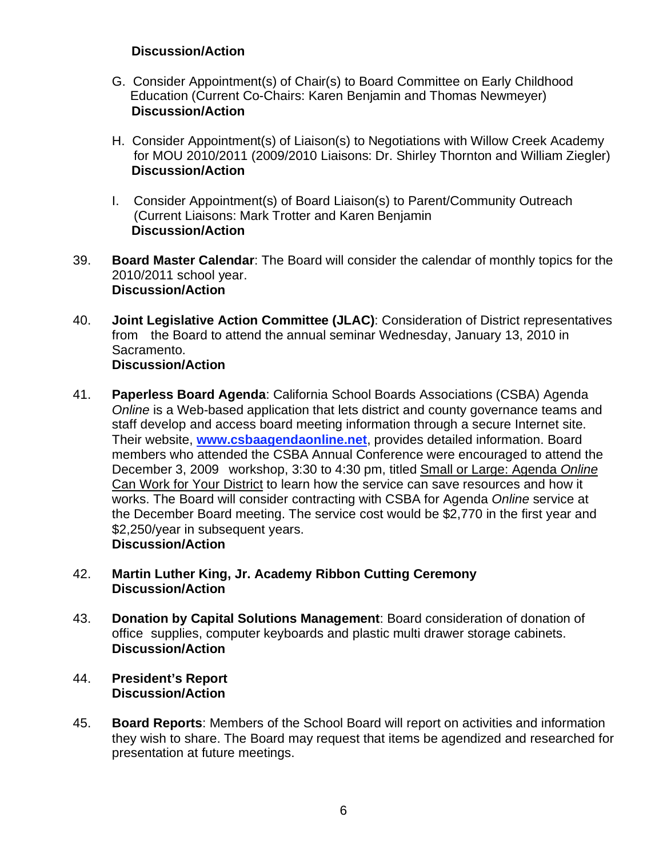# **Discussion/Action**

- G. Consider Appointment(s) of Chair(s) to Board Committee on Early Childhood Education (Current Co-Chairs: Karen Benjamin and Thomas Newmeyer) **Discussion/Action**
- H. Consider Appointment(s) of Liaison(s) to Negotiations with Willow Creek Academy for MOU 2010/2011 (2009/2010 Liaisons: Dr. Shirley Thornton and William Ziegler) **Discussion/Action**
- I. Consider Appointment(s) of Board Liaison(s) to Parent/Community Outreach (Current Liaisons: Mark Trotter and Karen Benjamin **Discussion/Action**
- 39. **Board Master Calendar**: The Board will consider the calendar of monthly topics for the 2010/2011 school year. **Discussion/Action**
- 40. **Joint Legislative Action Committee (JLAC)**: Consideration of District representatives from the Board to attend the annual seminar Wednesday, January 13, 2010 in Sacramento. **Discussion/Action**
- 41. **Paperless Board Agenda**: California School Boards Associations (CSBA) Agenda *Online* is a Web-based application that lets district and county governance teams and staff develop and access board meeting information through a secure Internet site. Their website, **www.csbaagendaonline.net**, provides detailed information. Board members who attended the CSBA Annual Conference were encouraged to attend the December 3, 2009 workshop, 3:30 to 4:30 pm, titled Small or Large: Agenda *Online* Can Work for Your District to learn how the service can save resources and how it works. The Board will consider contracting with CSBA for Agenda *Online* service at the December Board meeting. The service cost would be \$2,770 in the first year and \$2,250/year in subsequent years.  **Discussion/Action**

## 42. **Martin Luther King, Jr. Academy Ribbon Cutting Ceremony Discussion/Action**

- 43. **Donation by Capital Solutions Management**: Board consideration of donation of office supplies, computer keyboards and plastic multi drawer storage cabinets. **Discussion/Action**
- 44. **President's Report Discussion/Action**
- 45. **Board Reports**: Members of the School Board will report on activities and information they wish to share. The Board may request that items be agendized and researched for presentation at future meetings.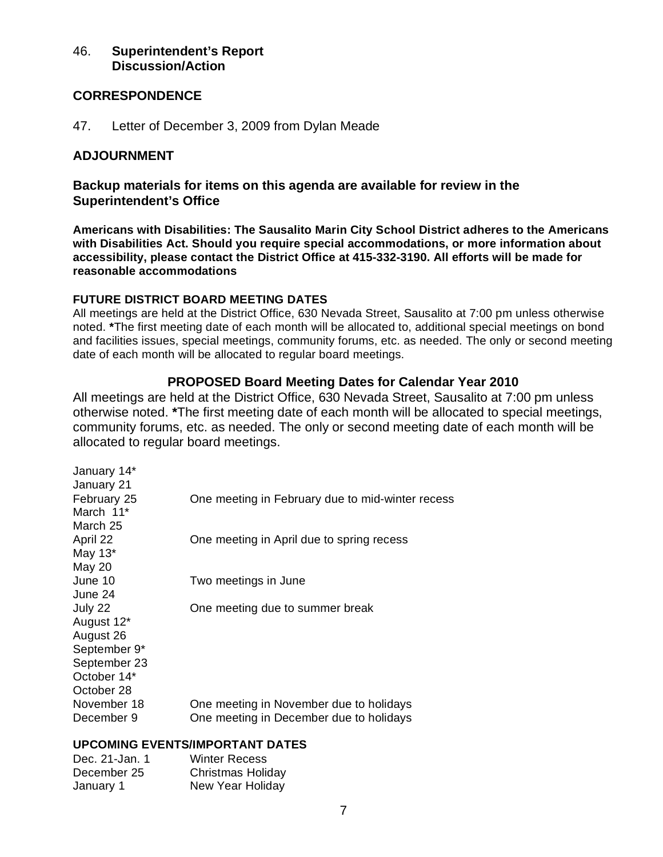## 46. **Superintendent's Report Discussion/Action**

## **CORRESPONDENCE**

47. Letter of December 3, 2009 from Dylan Meade

## **ADJOURNMENT**

**Backup materials for items on this agenda are available for review in the Superintendent's Office** 

**Americans with Disabilities: The Sausalito Marin City School District adheres to the Americans with Disabilities Act. Should you require special accommodations, or more information about accessibility, please contact the District Office at 415-332-3190. All efforts will be made for reasonable accommodations**

## **FUTURE DISTRICT BOARD MEETING DATES**

All meetings are held at the District Office, 630 Nevada Street, Sausalito at 7:00 pm unless otherwise noted. **\***The first meeting date of each month will be allocated to, additional special meetings on bond and facilities issues, special meetings, community forums, etc. as needed. The only or second meeting date of each month will be allocated to regular board meetings.

## **PROPOSED Board Meeting Dates for Calendar Year 2010**

All meetings are held at the District Office, 630 Nevada Street, Sausalito at 7:00 pm unless otherwise noted. **\***The first meeting date of each month will be allocated to special meetings, community forums, etc. as needed. The only or second meeting date of each month will be allocated to regular board meetings.

| January 14*<br>January 21 |                                                  |
|---------------------------|--------------------------------------------------|
| February 25               | One meeting in February due to mid-winter recess |
| March 11*                 |                                                  |
| March 25                  |                                                  |
| April 22                  | One meeting in April due to spring recess        |
| May 13*                   |                                                  |
| <b>May 20</b>             |                                                  |
| June 10                   | Two meetings in June                             |
| June 24                   |                                                  |
| July 22                   | One meeting due to summer break                  |
| August 12*                |                                                  |
| August 26                 |                                                  |
| September 9*              |                                                  |
| September 23              |                                                  |
| October 14*               |                                                  |
| October 28                |                                                  |
| November 18               | One meeting in November due to holidays          |
| December 9                | One meeting in December due to holidays          |
|                           |                                                  |

## **UPCOMING EVENTS/IMPORTANT DATES**

| Dec. 21-Jan. 1 | <b>Winter Recess</b>     |
|----------------|--------------------------|
| December 25    | <b>Christmas Holiday</b> |
| January 1      | New Year Holiday         |